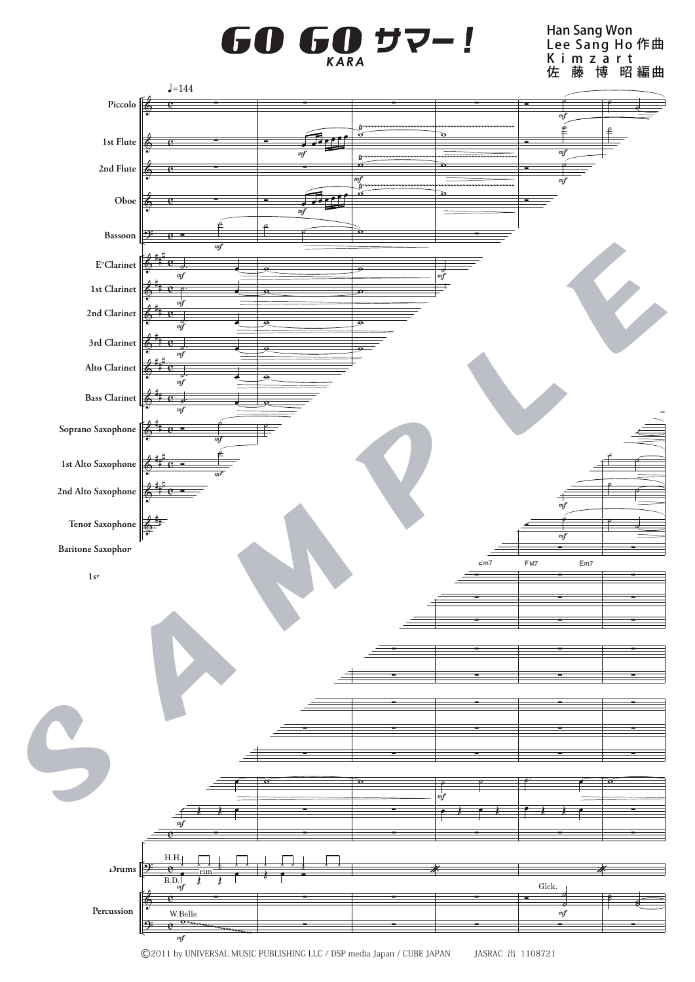## $\mathbf{0}$   $\mathbf{G}$ <sub>KARA</sub> G )サ

Han Sang Won Lee Sang Ho Kimzart 佐 藤 博 昭 編曲 作 曲